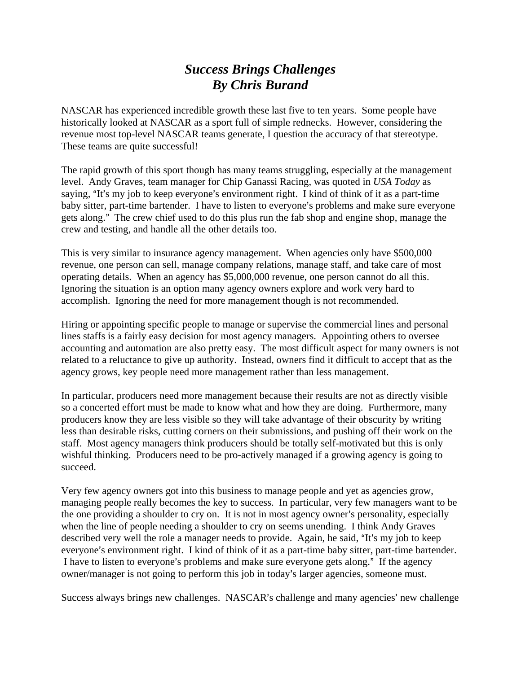## *Success Brings Challenges By Chris Burand*

NASCAR has experienced incredible growth these last five to ten years. Some people have historically looked at NASCAR as a sport full of simple rednecks. However, considering the revenue most top-level NASCAR teams generate, I question the accuracy of that stereotype. These teams are quite successful!

The rapid growth of this sport though has many teams struggling, especially at the management level. Andy Graves, team manager for Chip Ganassi Racing, was quoted in *USA Today* as saying, "It's my job to keep everyone's environment right. I kind of think of it as a part-time baby sitter, part-time bartender. I have to listen to everyone's problems and make sure everyone gets along." The crew chief used to do this plus run the fab shop and engine shop, manage the crew and testing, and handle all the other details too.

This is very similar to insurance agency management. When agencies only have \$500,000 revenue, one person can sell, manage company relations, manage staff, and take care of most operating details. When an agency has \$5,000,000 revenue, one person cannot do all this. Ignoring the situation is an option many agency owners explore and work very hard to accomplish. Ignoring the need for more management though is not recommended.

Hiring or appointing specific people to manage or supervise the commercial lines and personal lines staffs is a fairly easy decision for most agency managers. Appointing others to oversee accounting and automation are also pretty easy. The most difficult aspect for many owners is not related to a reluctance to give up authority. Instead, owners find it difficult to accept that as the agency grows, key people need more management rather than less management.

In particular, producers need more management because their results are not as directly visible so a concerted effort must be made to know what and how they are doing. Furthermore, many producers know they are less visible so they will take advantage of their obscurity by writing less than desirable risks, cutting corners on their submissions, and pushing off their work on the staff. Most agency managers think producers should be totally self-motivated but this is only wishful thinking. Producers need to be pro-actively managed if a growing agency is going to succeed.

Very few agency owners got into this business to manage people and yet as agencies grow, managing people really becomes the key to success. In particular, very few managers want to be the one providing a shoulder to cry on. It is not in most agency owner's personality, especially when the line of people needing a shoulder to cry on seems unending. I think Andy Graves described very well the role a manager needs to provide. Again, he said, "It's my job to keep everyone's environment right. I kind of think of it as a part-time baby sitter, part-time bartender. I have to listen to everyone's problems and make sure everyone gets along." If the agency owner/manager is not going to perform this job in today's larger agencies, someone must.

Success always brings new challenges. NASCAR's challenge and many agencies' new challenge